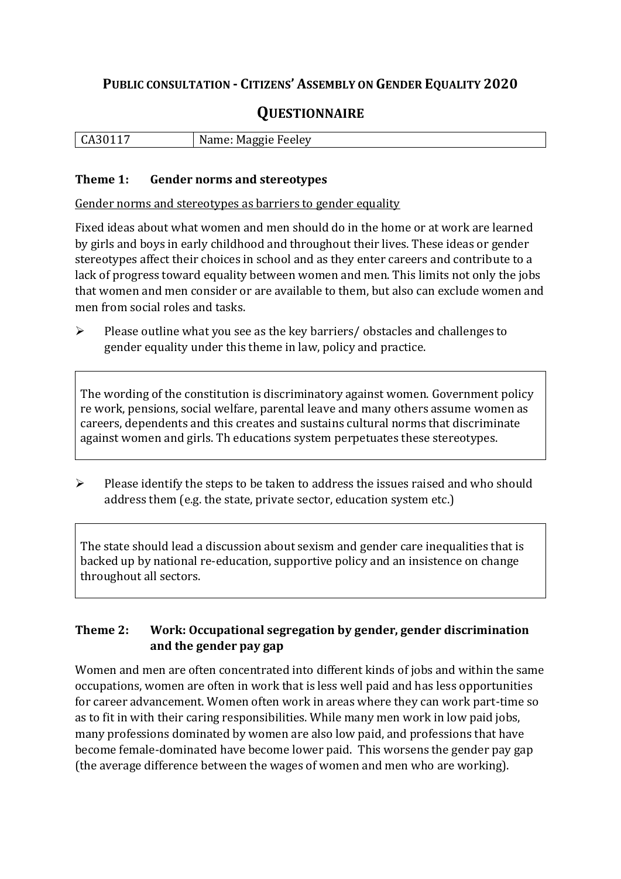## **PUBLIC CONSULTATION - CITIZENS' ASSEMBLY ON GENDER EQUALITY 2020**

# **QUESTIONNAIRE**

| N<br>$\mathbf{r}$<br>$\sim$ $\sim$ $\sim$ $\sim$<br>IVІ<br>. .<br>.<br>-<br>ЮC |
|--------------------------------------------------------------------------------|
|--------------------------------------------------------------------------------|

#### **Theme 1: Gender norms and stereotypes**

Gender norms and stereotypes as barriers to gender equality

Fixed ideas about what women and men should do in the home or at work are learned by girls and boys in early childhood and throughout their lives. These ideas or gender stereotypes affect their choices in school and as they enter careers and contribute to a lack of progress toward equality between women and men. This limits not only the jobs that women and men consider or are available to them, but also can exclude women and men from social roles and tasks.

➢ Please outline what you see as the key barriers/ obstacles and challenges to gender equality under this theme in law, policy and practice.

The wording of the constitution is discriminatory against women. Government policy re work, pensions, social welfare, parental leave and many others assume women as careers, dependents and this creates and sustains cultural norms that discriminate against women and girls. Th educations system perpetuates these stereotypes.

➢ Please identify the steps to be taken to address the issues raised and who should address them (e.g. the state, private sector, education system etc.)

The state should lead a discussion about sexism and gender care inequalities that is backed up by national re-education, supportive policy and an insistence on change throughout all sectors.

#### **Theme 2: Work: Occupational segregation by gender, gender discrimination and the gender pay gap**

Women and men are often concentrated into different kinds of jobs and within the same occupations, women are often in work that is less well paid and has less opportunities for career advancement. Women often work in areas where they can work part-time so as to fit in with their caring responsibilities. While many men work in low paid jobs, many professions dominated by women are also low paid, and professions that have become female-dominated have become lower paid. This worsens the gender pay gap (the average difference between the wages of women and men who are working).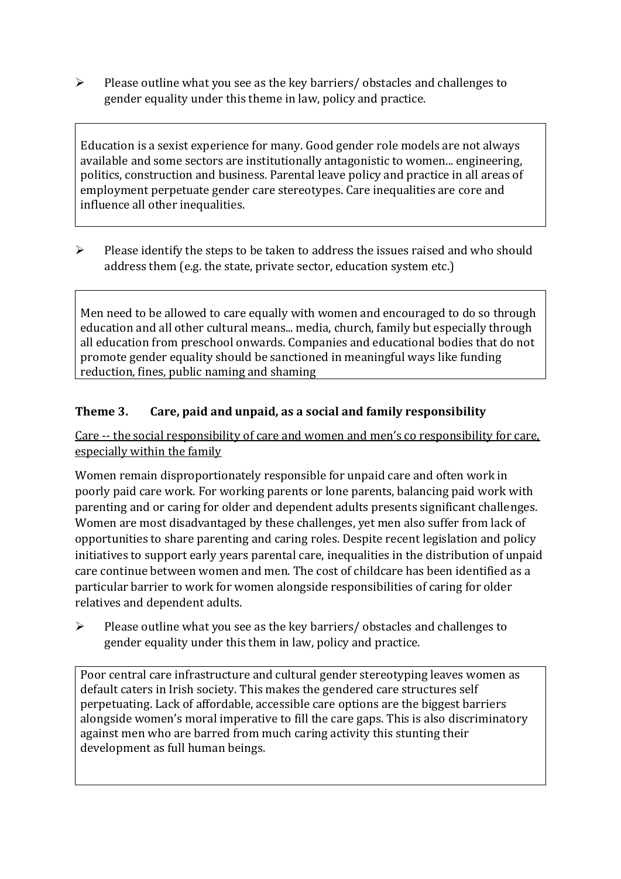➢ Please outline what you see as the key barriers/ obstacles and challenges to gender equality under this theme in law, policy and practice.

Education is a sexist experience for many. Good gender role models are not always available and some sectors are institutionally antagonistic to women... engineering, politics, construction and business. Parental leave policy and practice in all areas of employment perpetuate gender care stereotypes. Care inequalities are core and influence all other inequalities.

➢ Please identify the steps to be taken to address the issues raised and who should address them (e.g. the state, private sector, education system etc.)

Men need to be allowed to care equally with women and encouraged to do so through education and all other cultural means... media, church, family but especially through all education from preschool onwards. Companies and educational bodies that do not promote gender equality should be sanctioned in meaningful ways like funding reduction, fines, public naming and shaming

#### **Theme 3. Care, paid and unpaid, as a social and family responsibility**

Care -- the social responsibility of care and women and men's co responsibility for care, especially within the family

Women remain disproportionately responsible for unpaid care and often work in poorly paid care work. For working parents or [lone parents,](https://aran.library.nuigalway.ie/bitstream/handle/10379/6044/Millar_and_Crosse_Activation_Report.pdf?sequence=1&isAllowed=y) balancing paid work with parenting and or caring for older and dependent adults presents significant challenges. Women are [most disadvantaged by these challenges,](https://eige.europa.eu/gender-equality-index/game/IE/W) yet men also suffer from lack of opportunities to share parenting and caring roles. Despite recent legislation and policy initiatives to support early years parental care, [inequalities in the distribution of unpaid](https://www.ihrec.ie/app/uploads/2019/07/Caring-and-Unpaid-Work-in-Ireland_Final.pdf)  [care](https://www.ihrec.ie/app/uploads/2019/07/Caring-and-Unpaid-Work-in-Ireland_Final.pdf) continue between women and men. The cost of childcare has been identified as a particular barrier to work for women alongside responsibilities of caring for older relatives and dependent adults.

➢ Please outline what you see as the key barriers/ obstacles and challenges to gender equality under this them in law, policy and practice.

Poor central care infrastructure and cultural gender stereotyping leaves women as default caters in Irish society. This makes the gendered care structures self perpetuating. Lack of affordable, accessible care options are the biggest barriers alongside women's moral imperative to fill the care gaps. This is also discriminatory against men who are barred from much caring activity this stunting their development as full human beings.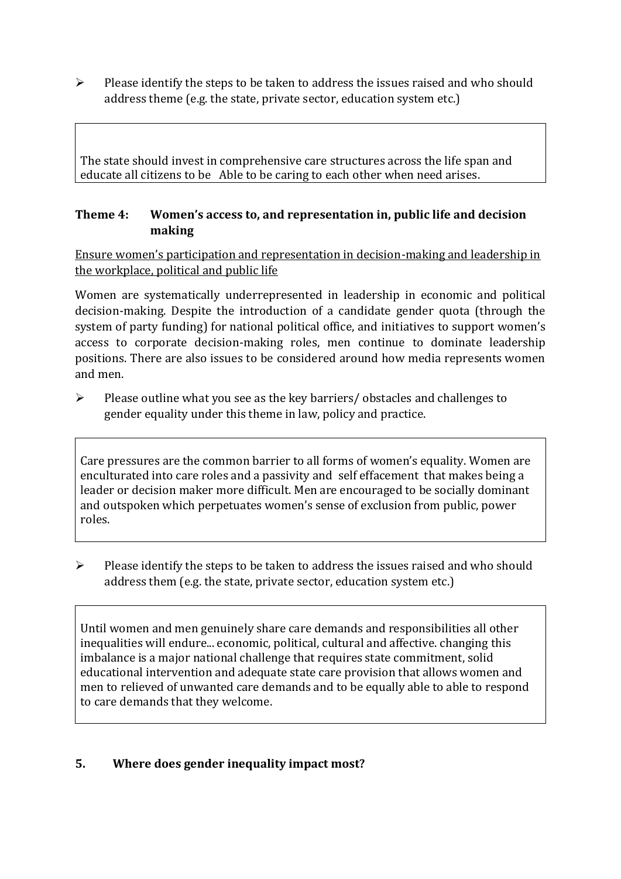➢ Please identify the steps to be taken to address the issues raised and who should address theme (e.g. the state, private sector, education system etc.)

The state should invest in comprehensive care structures across the life span and educate all citizens to be Able to be caring to each other when need arises.

#### **Theme 4: Women's access to, and representation in, public life and decision making**

Ensure women's participation and representation in decision-making and leadership in the workplace, political and public life

Women are systematically underrepresented in leadership in [economic](https://eige.europa.eu/gender-equality-index/2019/compare-countries/power/2/bar) and [political](https://eige.europa.eu/gender-equality-index/2019/compare-countries/power/1/bar)  [decision-](https://eige.europa.eu/gender-equality-index/2019/compare-countries/power/1/bar)making. Despite the introduction of a candidate gender quota (through the system of party funding) for national political office, and [initiatives](https://betterbalance.ie/) to support women's access to corporate decision-making roles, men continue to dominate leadership positions. There are also issues to be considered around how media represents women and men.

➢ Please outline what you see as the key barriers/ obstacles and challenges to gender equality under this theme in law, policy and practice.

Care pressures are the common barrier to all forms of women's equality. Women are enculturated into care roles and a passivity and self effacement that makes being a leader or decision maker more difficult. Men are encouraged to be socially dominant and outspoken which perpetuates women's sense of exclusion from public, power roles.

➢ Please identify the steps to be taken to address the issues raised and who should address them (e.g. the state, private sector, education system etc.)

Until women and men genuinely share care demands and responsibilities all other inequalities will endure... economic, political, cultural and affective. changing this imbalance is a major national challenge that requires state commitment, solid educational intervention and adequate state care provision that allows women and men to relieved of unwanted care demands and to be equally able to able to respond to care demands that they welcome.

### **5. Where does gender inequality impact most?**